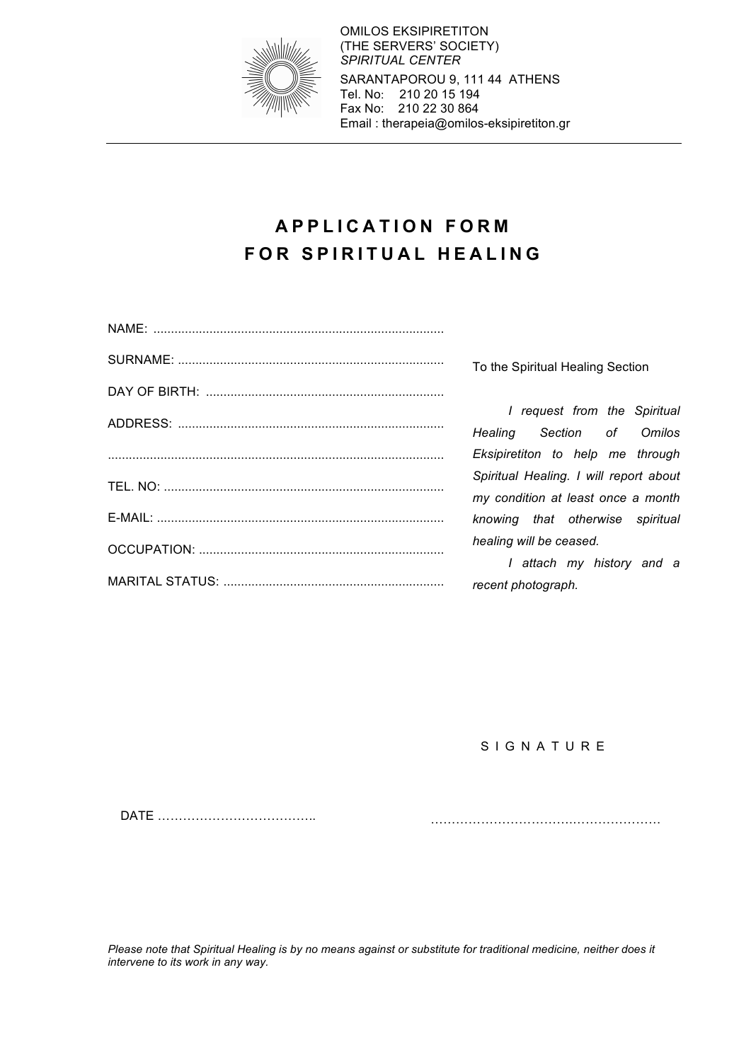

OMILOS EKSIPIRETITON (THE SERVERS' SOCIETY) *SPIRITUAL CENTER* SARANTAPOROU 9, 111 44 ATHENS Tel. No: 210 20 15 194 Fax No: 210 22 30 864 Email : therapeia@omilos-eksipiretiton.gr

# **APPLICATION FORM FOR SPIRITUAL HEALING**

To the Spiritual Healing Section

*I request from the Spiritual Healing Section of Omilos Eksipiretiton to help me through Spiritual Healing. I will report about my condition at least once a month knowing that otherwise spiritual healing will be ceased.*

*I attach my history and a recent photograph.*

**SIGNATURE** 

DATE ………………………………..

…………………………….…………………

*Please note that Spiritual Healing is by no means against or substitute for traditional medicine, neither does it intervene to its work in any way.*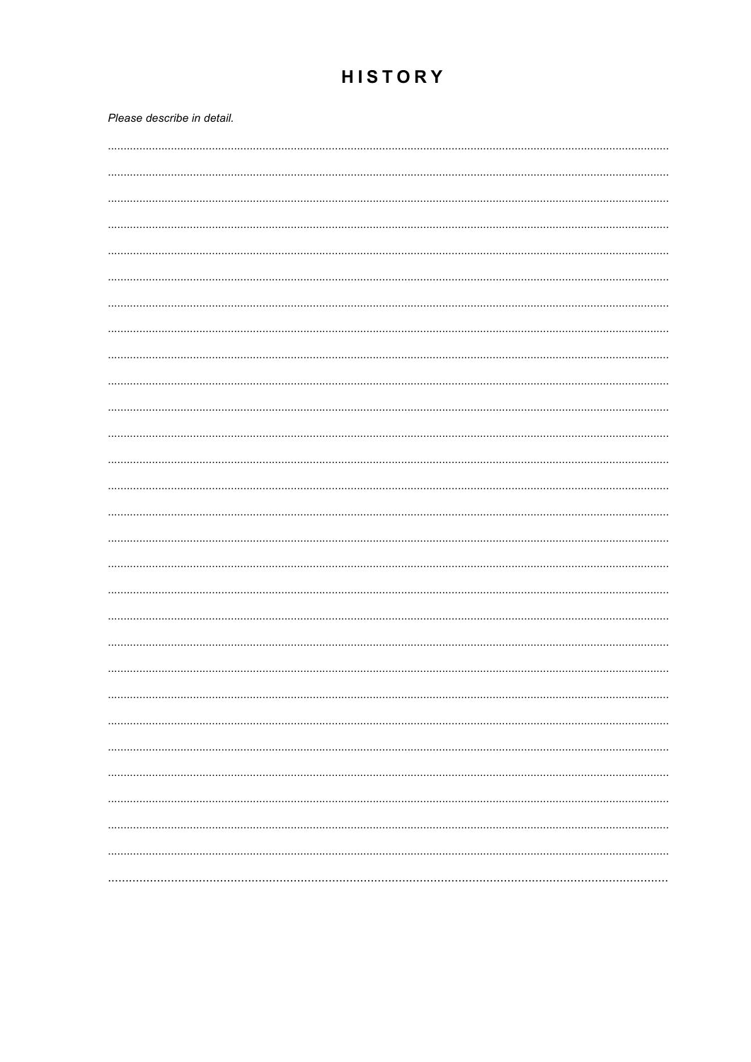# **HISTORY**

| Please describe in detail. |
|----------------------------|
|                            |
|                            |
|                            |
|                            |
|                            |
|                            |
|                            |
|                            |
|                            |
|                            |
|                            |
|                            |
|                            |
|                            |
|                            |
|                            |
|                            |
|                            |
|                            |
|                            |
|                            |
|                            |
|                            |
|                            |
|                            |
|                            |
|                            |
|                            |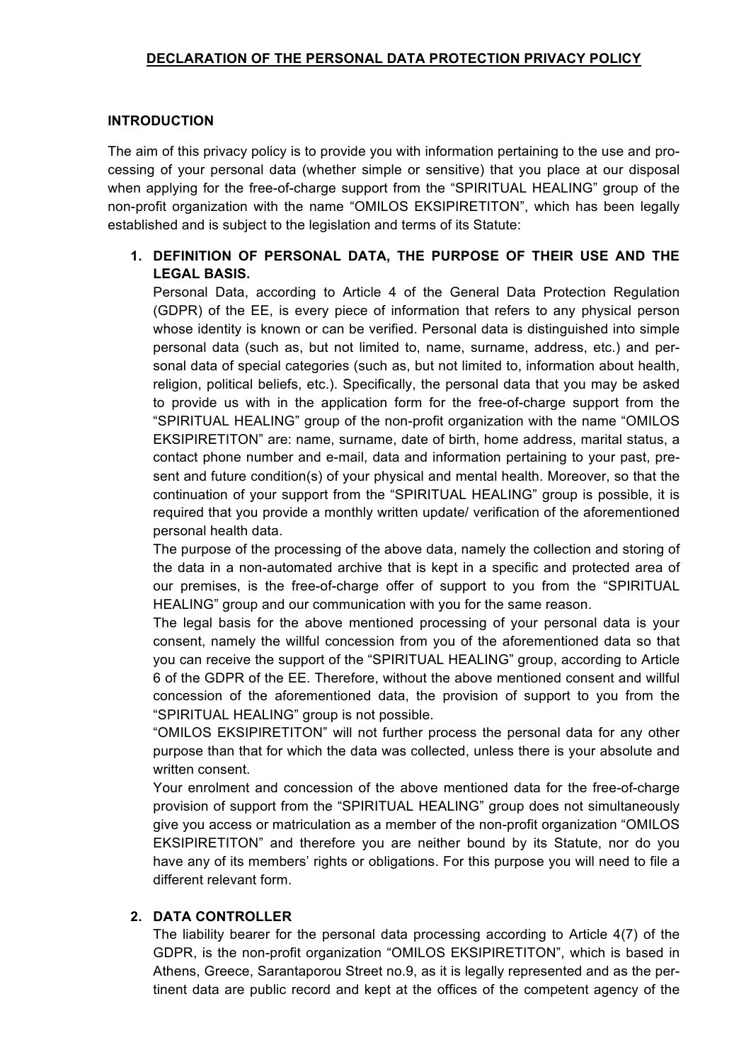# **DECLARATION OF THE PERSONAL DATA PROTECTION PRIVACY POLICY**

#### **INTRODUCTION**

The aim of this privacy policy is to provide you with information pertaining to the use and processing of your personal data (whether simple or sensitive) that you place at our disposal when applying for the free-of-charge support from the "SPIRITUAL HEALING" group of the non-profit organization with the name "OMILOS EKSIPIRETITON", which has been legally established and is subject to the legislation and terms of its Statute:

# **1. DEFINITION OF PERSONAL DATA, THE PURPOSE OF THEIR USE AND THE LEGAL BASIS.**

Personal Data, according to Article 4 of the General Data Protection Regulation (GDPR) of the EE, is every piece of information that refers to any physical person whose identity is known or can be verified. Personal data is distinguished into simple personal data (such as, but not limited to, name, surname, address, etc.) and personal data of special categories (such as, but not limited to, information about health, religion, political beliefs, etc.). Specifically, the personal data that you may be asked to provide us with in the application form for the free-of-charge support from the "SPIRITUAL HEALING" group of the non-profit organization with the name "OMILOS EKSIPIRETITON" are: name, surname, date of birth, home address, marital status, a contact phone number and e-mail, data and information pertaining to your past, present and future condition(s) of your physical and mental health. Moreover, so that the continuation of your support from the "SPIRITUAL HEALING" group is possible, it is required that you provide a monthly written update/ verification of the aforementioned personal health data.

The purpose of the processing of the above data, namely the collection and storing of the data in a non-automated archive that is kept in a specific and protected area of our premises, is the free-of-charge offer of support to you from the "SPIRITUAL HEALING" group and our communication with you for the same reason.

The legal basis for the above mentioned processing of your personal data is your consent, namely the willful concession from you of the aforementioned data so that you can receive the support of the "SPIRITUAL HEALING" group, according to Article 6 of the GDPR of the EE. Therefore, without the above mentioned consent and willful concession of the aforementioned data, the provision of support to you from the "SPIRITUAL HEALING" group is not possible.

"OMILOS EKSIPIRETITON" will not further process the personal data for any other purpose than that for which the data was collected, unless there is your absolute and written consent.

Your enrolment and concession of the above mentioned data for the free-of-charge provision of support from the "SPIRITUAL HEALING" group does not simultaneously give you access or matriculation as a member of the non-profit organization "OMILOS EKSIPIRETITON" and therefore you are neither bound by its Statute, nor do you have any of its members' rights or obligations. For this purpose you will need to file a different relevant form.

#### **2. DATA CONTROLLER**

The liability bearer for the personal data processing according to Article 4(7) of the GDPR, is the non-profit organization "OMILOS EKSIPIRETITON", which is based in Athens, Greece, Sarantaporou Street no.9, as it is legally represented and as the pertinent data are public record and kept at the offices of the competent agency of the